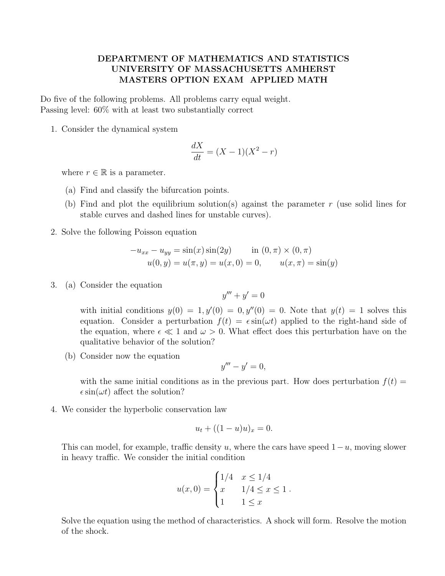## DEPARTMENT OF MATHEMATICS AND STATISTICS UNIVERSITY OF MASSACHUSETTS AMHERST MASTERS OPTION EXAM APPLIED MATH

Do five of the following problems. All problems carry equal weight. Passing level: 60% with at least two substantially correct

1. Consider the dynamical system

$$
\frac{dX}{dt} = (X - 1)(X^2 - r)
$$

where  $r \in \mathbb{R}$  is a parameter.

- (a) Find and classify the bifurcation points.
- (b) Find and plot the equilibrium solution(s) against the parameter r (use solid lines for stable curves and dashed lines for unstable curves).
- 2. Solve the following Poisson equation

$$
-u_{xx} - u_{yy} = \sin(x)\sin(2y) \quad \text{in } (0, \pi) \times (0, \pi)
$$

$$
u(0, y) = u(\pi, y) = u(x, 0) = 0, \quad u(x, \pi) = \sin(y)
$$

3. (a) Consider the equation

$$
y''' + y' = 0
$$

with initial conditions  $y(0) = 1, y'(0) = 0, y''(0) = 0$ . Note that  $y(t) = 1$  solves this equation. Consider a perturbation  $f(t) = \epsilon \sin(\omega t)$  applied to the right-hand side of the equation, where  $\epsilon \ll 1$  and  $\omega > 0$ . What effect does this perturbation have on the qualitative behavior of the solution?

(b) Consider now the equation

$$
y'''-y'=0,
$$

with the same initial conditions as in the previous part. How does perturbation  $f(t)$  $\epsilon \sin(\omega t)$  affect the solution?

4. We consider the hyperbolic conservation law

$$
u_t + ((1 - u)u)_x = 0.
$$

This can model, for example, traffic density u, where the cars have speed  $1-u$ , moving slower in heavy traffic. We consider the initial condition

$$
u(x, 0) = \begin{cases} 1/4 & x \le 1/4 \\ x & 1/4 \le x \le 1 \\ 1 & 1 \le x \end{cases}
$$

Solve the equation using the method of characteristics. A shock will form. Resolve the motion of the shock.